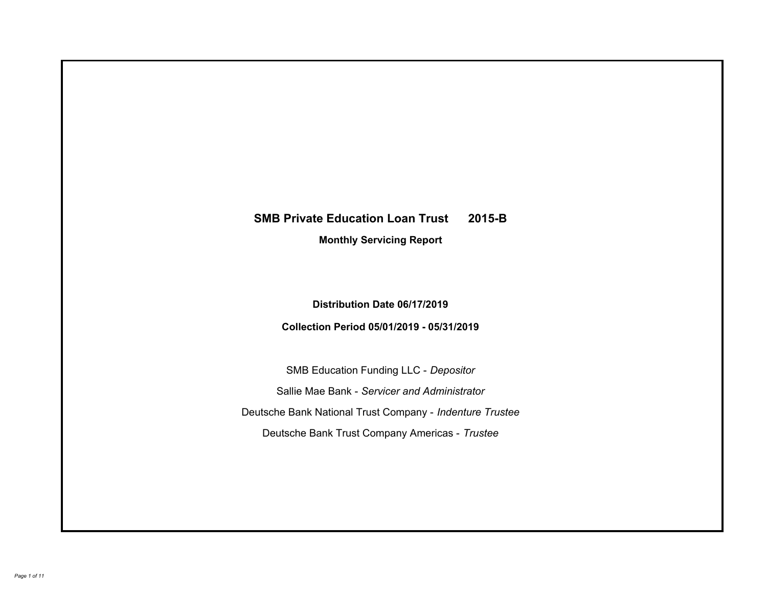# **SMB Private Education Loan Trust 2015-B Monthly Servicing Report**

# **Distribution Date 06/17/2019**

# **Collection Period 05/01/2019 - 05/31/2019**

SMB Education Funding LLC - *Depositor* Sallie Mae Bank - *Servicer and Administrator* Deutsche Bank National Trust Company - *Indenture Trustee* Deutsche Bank Trust Company Americas - *Trustee*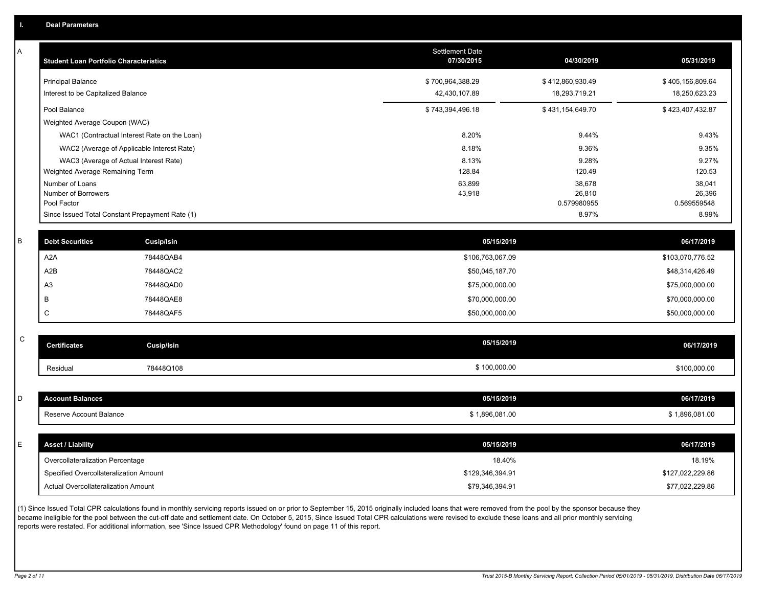| A              | <b>Student Loan Portfolio Characteristics</b>   |                   | <b>Settlement Date</b><br>07/30/2015 | 04/30/2019            | 05/31/2019            |  |
|----------------|-------------------------------------------------|-------------------|--------------------------------------|-----------------------|-----------------------|--|
|                | <b>Principal Balance</b>                        |                   | \$700,964,388.29                     | \$412,860,930.49      | \$405,156,809.64      |  |
|                | Interest to be Capitalized Balance              |                   | 42,430,107.89                        | 18,293,719.21         | 18,250,623.23         |  |
|                | Pool Balance                                    |                   | \$743,394,496.18                     | \$431,154,649.70      | \$423,407,432.87      |  |
|                | Weighted Average Coupon (WAC)                   |                   |                                      |                       |                       |  |
|                | WAC1 (Contractual Interest Rate on the Loan)    |                   | 8.20%                                | 9.44%                 | 9.43%                 |  |
|                | WAC2 (Average of Applicable Interest Rate)      |                   | 8.18%                                | 9.36%                 | 9.35%                 |  |
|                | WAC3 (Average of Actual Interest Rate)          |                   | 8.13%                                | 9.28%                 | 9.27%                 |  |
|                | Weighted Average Remaining Term                 |                   | 128.84                               | 120.49                | 120.53                |  |
|                | Number of Loans                                 |                   | 63,899                               | 38,678                | 38,041                |  |
|                | Number of Borrowers<br>Pool Factor              |                   | 43,918                               | 26,810<br>0.579980955 | 26,396<br>0.569559548 |  |
|                | Since Issued Total Constant Prepayment Rate (1) |                   |                                      | 8.97%                 | 8.99%                 |  |
|                |                                                 |                   |                                      |                       |                       |  |
| B              | <b>Debt Securities</b>                          | <b>Cusip/Isin</b> | 05/15/2019                           |                       | 06/17/2019            |  |
| A2A            |                                                 | 78448QAB4         | \$106,763,067.09                     |                       | \$103,070,776.52      |  |
| A2B            |                                                 | 78448QAC2         | \$50,045,187.70                      |                       | \$48,314,426.49       |  |
| A <sub>3</sub> |                                                 | 78448QAD0         | \$75,000,000.00                      |                       | \$75,000,000.00       |  |
| B              |                                                 | 78448QAE8         | \$70,000,000.00                      |                       | \$70,000,000.00       |  |
| $\mathsf C$    |                                                 | 78448QAF5         | \$50,000,000.00                      |                       | \$50,000,000.00       |  |
| $\mathsf C$    |                                                 |                   |                                      |                       |                       |  |
|                | <b>Certificates</b>                             | <b>Cusip/Isin</b> | 05/15/2019                           |                       | 06/17/2019            |  |
|                | Residual                                        | 78448Q108         | \$100,000.00                         |                       | \$100,000.00          |  |
|                |                                                 |                   |                                      |                       |                       |  |
|                | <b>Account Balances</b>                         |                   | 05/15/2019                           |                       | 06/17/2019            |  |
|                | Reserve Account Balance                         |                   | \$1,896,081.00                       |                       | \$1,896,081.00        |  |
|                |                                                 |                   |                                      |                       |                       |  |
|                | <b>Asset / Liability</b>                        |                   | 05/15/2019                           |                       | 06/17/2019            |  |
|                | Overcollateralization Percentage                |                   | 18.40%                               |                       | 18.19%                |  |
|                | Specified Overcollateralization Amount          |                   | \$129,346,394.91                     |                       | \$127,022,229.86      |  |
|                | Actual Overcollateralization Amount             |                   | \$79,346,394.91                      |                       | \$77,022,229.86       |  |
| D<br>E         |                                                 |                   |                                      |                       |                       |  |

(1) Since Issued Total CPR calculations found in monthly servicing reports issued on or prior to September 15, 2015 originally included loans that were removed from the pool by the sponsor because they became ineligible for the pool between the cut-off date and settlement date. On October 5, 2015, Since Issued Total CPR calculations were revised to exclude these loans and all prior monthly servicing reports were restated. For additional information, see 'Since Issued CPR Methodology' found on page 11 of this report.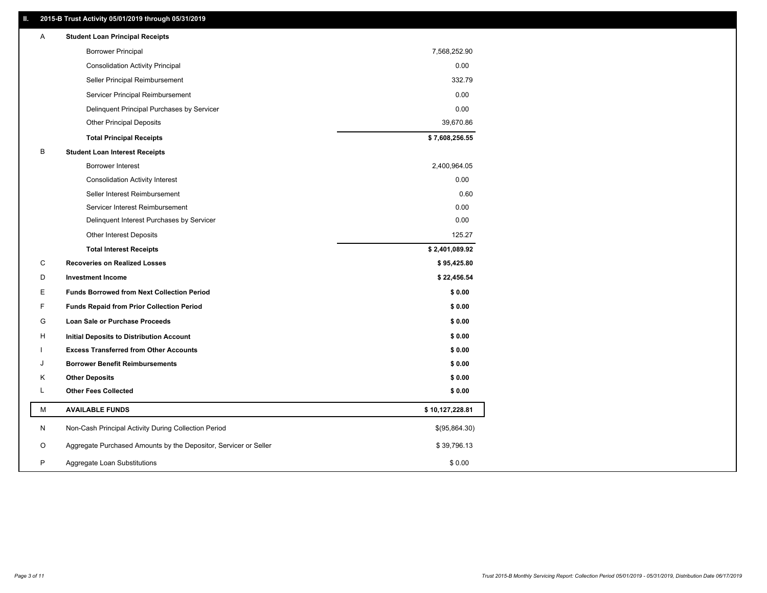### **II. 2015-B Trust Activity 05/01/2019 through 05/31/2019**

| <b>Borrower Principal</b><br>7,568,252.90<br><b>Consolidation Activity Principal</b><br>0.00<br>Seller Principal Reimbursement<br>332.79<br>0.00<br>Servicer Principal Reimbursement<br>0.00<br>Delinquent Principal Purchases by Servicer<br>39,670.86<br><b>Other Principal Deposits</b><br>\$7,608,256.55<br><b>Total Principal Receipts</b><br>B<br><b>Student Loan Interest Receipts</b><br><b>Borrower Interest</b><br>2,400,964.05<br>0.00<br><b>Consolidation Activity Interest</b><br>Seller Interest Reimbursement<br>0.60<br>0.00<br>Servicer Interest Reimbursement<br>Delinquent Interest Purchases by Servicer<br>0.00<br>Other Interest Deposits<br>125.27<br>\$2,401,089.92<br><b>Total Interest Receipts</b><br>C<br><b>Recoveries on Realized Losses</b><br>\$95,425.80<br>D<br><b>Investment Income</b><br>\$22,456.54<br>\$0.00<br>Е<br><b>Funds Borrowed from Next Collection Period</b><br>F<br><b>Funds Repaid from Prior Collection Period</b><br>\$0.00<br>G<br>\$0.00<br>Loan Sale or Purchase Proceeds<br>\$0.00<br>н<br>Initial Deposits to Distribution Account<br>\$0.00<br><b>Excess Transferred from Other Accounts</b><br><b>Borrower Benefit Reimbursements</b><br>\$0.00<br>J<br>\$0.00<br>Κ<br><b>Other Deposits</b><br>Г<br><b>Other Fees Collected</b><br>\$0.00<br>М<br><b>AVAILABLE FUNDS</b><br>\$10,127,228.81<br>N<br>Non-Cash Principal Activity During Collection Period<br>\$(95,864.30)<br>Aggregate Purchased Amounts by the Depositor, Servicer or Seller<br>O<br>\$39,796.13<br>P<br>\$0.00<br>Aggregate Loan Substitutions | Α | <b>Student Loan Principal Receipts</b> |  |
|-------------------------------------------------------------------------------------------------------------------------------------------------------------------------------------------------------------------------------------------------------------------------------------------------------------------------------------------------------------------------------------------------------------------------------------------------------------------------------------------------------------------------------------------------------------------------------------------------------------------------------------------------------------------------------------------------------------------------------------------------------------------------------------------------------------------------------------------------------------------------------------------------------------------------------------------------------------------------------------------------------------------------------------------------------------------------------------------------------------------------------------------------------------------------------------------------------------------------------------------------------------------------------------------------------------------------------------------------------------------------------------------------------------------------------------------------------------------------------------------------------------------------------------------------------------------------------|---|----------------------------------------|--|
|                                                                                                                                                                                                                                                                                                                                                                                                                                                                                                                                                                                                                                                                                                                                                                                                                                                                                                                                                                                                                                                                                                                                                                                                                                                                                                                                                                                                                                                                                                                                                                               |   |                                        |  |
|                                                                                                                                                                                                                                                                                                                                                                                                                                                                                                                                                                                                                                                                                                                                                                                                                                                                                                                                                                                                                                                                                                                                                                                                                                                                                                                                                                                                                                                                                                                                                                               |   |                                        |  |
|                                                                                                                                                                                                                                                                                                                                                                                                                                                                                                                                                                                                                                                                                                                                                                                                                                                                                                                                                                                                                                                                                                                                                                                                                                                                                                                                                                                                                                                                                                                                                                               |   |                                        |  |
|                                                                                                                                                                                                                                                                                                                                                                                                                                                                                                                                                                                                                                                                                                                                                                                                                                                                                                                                                                                                                                                                                                                                                                                                                                                                                                                                                                                                                                                                                                                                                                               |   |                                        |  |
|                                                                                                                                                                                                                                                                                                                                                                                                                                                                                                                                                                                                                                                                                                                                                                                                                                                                                                                                                                                                                                                                                                                                                                                                                                                                                                                                                                                                                                                                                                                                                                               |   |                                        |  |
|                                                                                                                                                                                                                                                                                                                                                                                                                                                                                                                                                                                                                                                                                                                                                                                                                                                                                                                                                                                                                                                                                                                                                                                                                                                                                                                                                                                                                                                                                                                                                                               |   |                                        |  |
|                                                                                                                                                                                                                                                                                                                                                                                                                                                                                                                                                                                                                                                                                                                                                                                                                                                                                                                                                                                                                                                                                                                                                                                                                                                                                                                                                                                                                                                                                                                                                                               |   |                                        |  |
|                                                                                                                                                                                                                                                                                                                                                                                                                                                                                                                                                                                                                                                                                                                                                                                                                                                                                                                                                                                                                                                                                                                                                                                                                                                                                                                                                                                                                                                                                                                                                                               |   |                                        |  |
|                                                                                                                                                                                                                                                                                                                                                                                                                                                                                                                                                                                                                                                                                                                                                                                                                                                                                                                                                                                                                                                                                                                                                                                                                                                                                                                                                                                                                                                                                                                                                                               |   |                                        |  |
|                                                                                                                                                                                                                                                                                                                                                                                                                                                                                                                                                                                                                                                                                                                                                                                                                                                                                                                                                                                                                                                                                                                                                                                                                                                                                                                                                                                                                                                                                                                                                                               |   |                                        |  |
|                                                                                                                                                                                                                                                                                                                                                                                                                                                                                                                                                                                                                                                                                                                                                                                                                                                                                                                                                                                                                                                                                                                                                                                                                                                                                                                                                                                                                                                                                                                                                                               |   |                                        |  |
|                                                                                                                                                                                                                                                                                                                                                                                                                                                                                                                                                                                                                                                                                                                                                                                                                                                                                                                                                                                                                                                                                                                                                                                                                                                                                                                                                                                                                                                                                                                                                                               |   |                                        |  |
|                                                                                                                                                                                                                                                                                                                                                                                                                                                                                                                                                                                                                                                                                                                                                                                                                                                                                                                                                                                                                                                                                                                                                                                                                                                                                                                                                                                                                                                                                                                                                                               |   |                                        |  |
|                                                                                                                                                                                                                                                                                                                                                                                                                                                                                                                                                                                                                                                                                                                                                                                                                                                                                                                                                                                                                                                                                                                                                                                                                                                                                                                                                                                                                                                                                                                                                                               |   |                                        |  |
|                                                                                                                                                                                                                                                                                                                                                                                                                                                                                                                                                                                                                                                                                                                                                                                                                                                                                                                                                                                                                                                                                                                                                                                                                                                                                                                                                                                                                                                                                                                                                                               |   |                                        |  |
|                                                                                                                                                                                                                                                                                                                                                                                                                                                                                                                                                                                                                                                                                                                                                                                                                                                                                                                                                                                                                                                                                                                                                                                                                                                                                                                                                                                                                                                                                                                                                                               |   |                                        |  |
|                                                                                                                                                                                                                                                                                                                                                                                                                                                                                                                                                                                                                                                                                                                                                                                                                                                                                                                                                                                                                                                                                                                                                                                                                                                                                                                                                                                                                                                                                                                                                                               |   |                                        |  |
|                                                                                                                                                                                                                                                                                                                                                                                                                                                                                                                                                                                                                                                                                                                                                                                                                                                                                                                                                                                                                                                                                                                                                                                                                                                                                                                                                                                                                                                                                                                                                                               |   |                                        |  |
|                                                                                                                                                                                                                                                                                                                                                                                                                                                                                                                                                                                                                                                                                                                                                                                                                                                                                                                                                                                                                                                                                                                                                                                                                                                                                                                                                                                                                                                                                                                                                                               |   |                                        |  |
|                                                                                                                                                                                                                                                                                                                                                                                                                                                                                                                                                                                                                                                                                                                                                                                                                                                                                                                                                                                                                                                                                                                                                                                                                                                                                                                                                                                                                                                                                                                                                                               |   |                                        |  |
|                                                                                                                                                                                                                                                                                                                                                                                                                                                                                                                                                                                                                                                                                                                                                                                                                                                                                                                                                                                                                                                                                                                                                                                                                                                                                                                                                                                                                                                                                                                                                                               |   |                                        |  |
|                                                                                                                                                                                                                                                                                                                                                                                                                                                                                                                                                                                                                                                                                                                                                                                                                                                                                                                                                                                                                                                                                                                                                                                                                                                                                                                                                                                                                                                                                                                                                                               |   |                                        |  |
|                                                                                                                                                                                                                                                                                                                                                                                                                                                                                                                                                                                                                                                                                                                                                                                                                                                                                                                                                                                                                                                                                                                                                                                                                                                                                                                                                                                                                                                                                                                                                                               |   |                                        |  |
|                                                                                                                                                                                                                                                                                                                                                                                                                                                                                                                                                                                                                                                                                                                                                                                                                                                                                                                                                                                                                                                                                                                                                                                                                                                                                                                                                                                                                                                                                                                                                                               |   |                                        |  |
|                                                                                                                                                                                                                                                                                                                                                                                                                                                                                                                                                                                                                                                                                                                                                                                                                                                                                                                                                                                                                                                                                                                                                                                                                                                                                                                                                                                                                                                                                                                                                                               |   |                                        |  |
|                                                                                                                                                                                                                                                                                                                                                                                                                                                                                                                                                                                                                                                                                                                                                                                                                                                                                                                                                                                                                                                                                                                                                                                                                                                                                                                                                                                                                                                                                                                                                                               |   |                                        |  |
|                                                                                                                                                                                                                                                                                                                                                                                                                                                                                                                                                                                                                                                                                                                                                                                                                                                                                                                                                                                                                                                                                                                                                                                                                                                                                                                                                                                                                                                                                                                                                                               |   |                                        |  |
|                                                                                                                                                                                                                                                                                                                                                                                                                                                                                                                                                                                                                                                                                                                                                                                                                                                                                                                                                                                                                                                                                                                                                                                                                                                                                                                                                                                                                                                                                                                                                                               |   |                                        |  |
|                                                                                                                                                                                                                                                                                                                                                                                                                                                                                                                                                                                                                                                                                                                                                                                                                                                                                                                                                                                                                                                                                                                                                                                                                                                                                                                                                                                                                                                                                                                                                                               |   |                                        |  |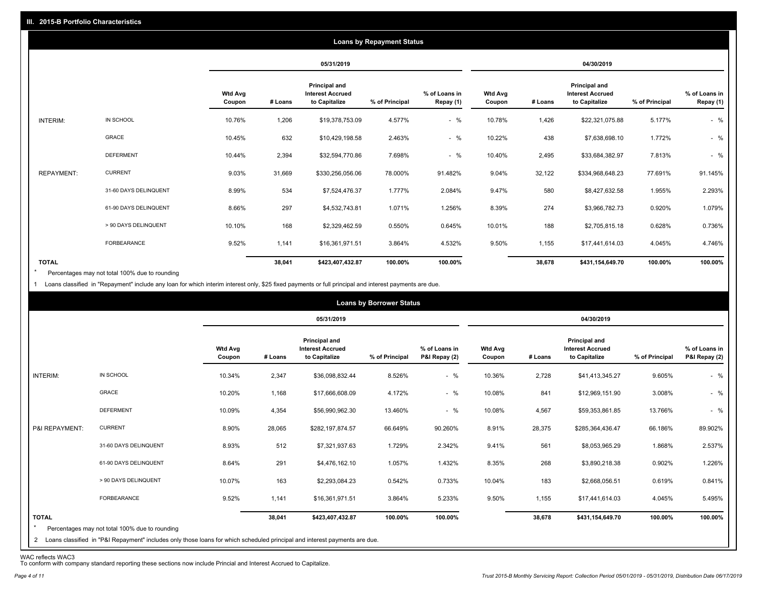|                   |                       |                          |         |                                                           | <b>Loans by Repayment Status</b> |                            |                          |         |                                                           |                |                            |
|-------------------|-----------------------|--------------------------|---------|-----------------------------------------------------------|----------------------------------|----------------------------|--------------------------|---------|-----------------------------------------------------------|----------------|----------------------------|
|                   |                       |                          |         | 05/31/2019                                                |                                  |                            |                          |         | 04/30/2019                                                |                |                            |
|                   |                       | <b>Wtd Avg</b><br>Coupon | # Loans | Principal and<br><b>Interest Accrued</b><br>to Capitalize | % of Principal                   | % of Loans in<br>Repay (1) | <b>Wtd Avg</b><br>Coupon | # Loans | Principal and<br><b>Interest Accrued</b><br>to Capitalize | % of Principal | % of Loans in<br>Repay (1) |
| INTERIM:          | IN SCHOOL             | 10.76%                   | 1,206   | \$19,378,753.09                                           | 4.577%                           | $-$ %                      | 10.78%                   | 1,426   | \$22,321,075.88                                           | 5.177%         | $-$ %                      |
|                   | <b>GRACE</b>          | 10.45%                   | 632     | \$10,429,198.58                                           | 2.463%                           | $-$ %                      | 10.22%                   | 438     | \$7,638,698.10                                            | 1.772%         | $-$ %                      |
|                   | <b>DEFERMENT</b>      | 10.44%                   | 2,394   | \$32,594,770.86                                           | 7.698%                           | $-$ %                      | 10.40%                   | 2,495   | \$33,684,382.97                                           | 7.813%         | $-$ %                      |
| <b>REPAYMENT:</b> | <b>CURRENT</b>        | 9.03%                    | 31,669  | \$330,256,056.06                                          | 78.000%                          | 91.482%                    | 9.04%                    | 32,122  | \$334,968,648.23                                          | 77.691%        | 91.145%                    |
|                   | 31-60 DAYS DELINQUENT | 8.99%                    | 534     | \$7,524,476.37                                            | 1.777%                           | 2.084%                     | 9.47%                    | 580     | \$8,427,632.58                                            | 1.955%         | 2.293%                     |
|                   | 61-90 DAYS DELINQUENT | 8.66%                    | 297     | \$4,532,743.81                                            | 1.071%                           | 1.256%                     | 8.39%                    | 274     | \$3,966,782.73                                            | 0.920%         | 1.079%                     |
|                   | > 90 DAYS DELINQUENT  | 10.10%                   | 168     | \$2,329,462.59                                            | 0.550%                           | 0.645%                     | 10.01%                   | 188     | \$2,705,815.18                                            | 0.628%         | 0.736%                     |
|                   | <b>FORBEARANCE</b>    | 9.52%                    | 1,141   | \$16,361,971.51                                           | 3.864%                           | 4.532%                     | 9.50%                    | 1,155   | \$17,441,614.03                                           | 4.045%         | 4.746%                     |
| <b>TOTAL</b>      |                       |                          | 38,041  | \$423,407,432.87                                          | 100.00%                          | 100.00%                    |                          | 38,678  | \$431,154,649.70                                          | 100.00%        | 100.00%                    |

Percentages may not total 100% due to rounding  $\star$ 

1 Loans classified in "Repayment" include any loan for which interim interest only, \$25 fixed payments or full principal and interest payments are due.

|                         |                                                                                                                              |                          |         |                                                           | <b>Loans by Borrower Status</b> |                                |                          |         |                                                           |                |                                |
|-------------------------|------------------------------------------------------------------------------------------------------------------------------|--------------------------|---------|-----------------------------------------------------------|---------------------------------|--------------------------------|--------------------------|---------|-----------------------------------------------------------|----------------|--------------------------------|
|                         |                                                                                                                              |                          |         | 05/31/2019                                                |                                 |                                |                          |         | 04/30/2019                                                |                |                                |
|                         |                                                                                                                              | <b>Wtd Avg</b><br>Coupon | # Loans | Principal and<br><b>Interest Accrued</b><br>to Capitalize | % of Principal                  | % of Loans in<br>P&I Repay (2) | <b>Wtd Avg</b><br>Coupon | # Loans | Principal and<br><b>Interest Accrued</b><br>to Capitalize | % of Principal | % of Loans in<br>P&I Repay (2) |
| INTERIM:                | IN SCHOOL                                                                                                                    | 10.34%                   | 2,347   | \$36,098,832.44                                           | 8.526%                          | $-$ %                          | 10.36%                   | 2,728   | \$41,413,345.27                                           | 9.605%         | $-$ %                          |
|                         | GRACE                                                                                                                        | 10.20%                   | 1,168   | \$17,666,608.09                                           | 4.172%                          | $-$ %                          | 10.08%                   | 841     | \$12,969,151.90                                           | 3.008%         | $-$ %                          |
|                         | <b>DEFERMENT</b>                                                                                                             | 10.09%                   | 4,354   | \$56,990,962.30                                           | 13.460%                         | $-$ %                          | 10.08%                   | 4,567   | \$59,353,861.85                                           | 13.766%        | $-$ %                          |
| P&I REPAYMENT:          | <b>CURRENT</b>                                                                                                               | 8.90%                    | 28,065  | \$282,197,874.57                                          | 66.649%                         | 90.260%                        | 8.91%                    | 28,375  | \$285,364,436.47                                          | 66.186%        | 89.902%                        |
|                         | 31-60 DAYS DELINQUENT                                                                                                        | 8.93%                    | 512     | \$7,321,937.63                                            | 1.729%                          | 2.342%                         | 9.41%                    | 561     | \$8,053,965.29                                            | 1.868%         | 2.537%                         |
|                         | 61-90 DAYS DELINQUENT                                                                                                        | 8.64%                    | 291     | \$4,476,162.10                                            | 1.057%                          | 1.432%                         | 8.35%                    | 268     | \$3,890,218.38                                            | 0.902%         | 1.226%                         |
|                         | > 90 DAYS DELINQUENT                                                                                                         | 10.07%                   | 163     | \$2,293,084.23                                            | 0.542%                          | 0.733%                         | 10.04%                   | 183     | \$2,668,056.51                                            | 0.619%         | 0.841%                         |
|                         | <b>FORBEARANCE</b>                                                                                                           | 9.52%                    | 1,141   | \$16,361,971.51                                           | 3.864%                          | 5.233%                         | 9.50%                    | 1,155   | \$17,441,614.03                                           | 4.045%         | 5.495%                         |
| <b>TOTAL</b><br>$\star$ | Percentages may not total 100% due to rounding                                                                               |                          | 38,041  | \$423,407,432.87                                          | 100.00%                         | 100.00%                        |                          | 38,678  | \$431,154,649.70                                          | 100.00%        | 100.00%                        |
|                         | 2 Loans classified in "P&I Repayment" includes only those loans for which scheduled principal and interest payments are due. |                          |         |                                                           |                                 |                                |                          |         |                                                           |                |                                |

WAC reflects WAC3 To conform with company standard reporting these sections now include Princial and Interest Accrued to Capitalize.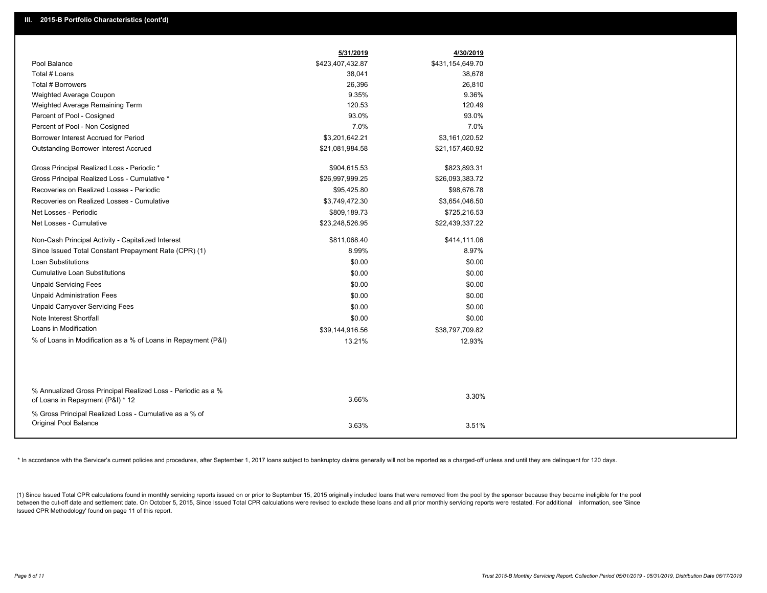|                                                                                                  | 5/31/2019        | 4/30/2019        |
|--------------------------------------------------------------------------------------------------|------------------|------------------|
| Pool Balance                                                                                     | \$423,407,432.87 | \$431,154,649.70 |
| Total # Loans                                                                                    | 38,041           | 38,678           |
| Total # Borrowers                                                                                | 26,396           | 26,810           |
| Weighted Average Coupon                                                                          | 9.35%            | 9.36%            |
| Weighted Average Remaining Term                                                                  | 120.53           | 120.49           |
| Percent of Pool - Cosigned                                                                       | 93.0%            | 93.0%            |
| Percent of Pool - Non Cosigned                                                                   | 7.0%             | 7.0%             |
| Borrower Interest Accrued for Period                                                             | \$3,201,642.21   | \$3,161,020.52   |
| <b>Outstanding Borrower Interest Accrued</b>                                                     | \$21,081,984.58  | \$21,157,460.92  |
| Gross Principal Realized Loss - Periodic *                                                       | \$904,615.53     | \$823,893.31     |
| Gross Principal Realized Loss - Cumulative *                                                     | \$26,997,999.25  | \$26,093,383.72  |
| Recoveries on Realized Losses - Periodic                                                         | \$95,425.80      | \$98,676.78      |
| Recoveries on Realized Losses - Cumulative                                                       | \$3,749,472.30   | \$3,654,046.50   |
| Net Losses - Periodic                                                                            | \$809,189.73     | \$725,216.53     |
| Net Losses - Cumulative                                                                          | \$23,248,526.95  | \$22,439,337.22  |
| Non-Cash Principal Activity - Capitalized Interest                                               | \$811,068.40     | \$414,111.06     |
| Since Issued Total Constant Prepayment Rate (CPR) (1)                                            | 8.99%            | 8.97%            |
| <b>Loan Substitutions</b>                                                                        | \$0.00           | \$0.00           |
| <b>Cumulative Loan Substitutions</b>                                                             | \$0.00           | \$0.00           |
| <b>Unpaid Servicing Fees</b>                                                                     | \$0.00           | \$0.00           |
| <b>Unpaid Administration Fees</b>                                                                | \$0.00           | \$0.00           |
| <b>Unpaid Carryover Servicing Fees</b>                                                           | \$0.00           | \$0.00           |
| Note Interest Shortfall                                                                          | \$0.00           | \$0.00           |
| Loans in Modification                                                                            | \$39,144,916.56  | \$38,797,709.82  |
| % of Loans in Modification as a % of Loans in Repayment (P&I)                                    | 13.21%           | 12.93%           |
|                                                                                                  |                  |                  |
|                                                                                                  |                  |                  |
| % Annualized Gross Principal Realized Loss - Periodic as a %<br>of Loans in Repayment (P&I) * 12 | 3.66%            | 3.30%            |
| % Gross Principal Realized Loss - Cumulative as a % of                                           |                  |                  |
| <b>Original Pool Balance</b>                                                                     | 3.63%            | 3.51%            |

\* In accordance with the Servicer's current policies and procedures, after September 1, 2017 loans subject to bankruptcy claims generally will not be reported as a charged-off unless and until they are delinquent for 120 d

(1) Since Issued Total CPR calculations found in monthly servicing reports issued on or prior to September 15, 2015 originally included loans that were removed from the pool by the sponsor because they became ineligible fo between the cut-off date and settlement date. On October 5, 2015, Since Issued Total CPR calculations were revised to exclude these loans and all prior monthly servicing reports were restated. For additional information, s Issued CPR Methodology' found on page 11 of this report.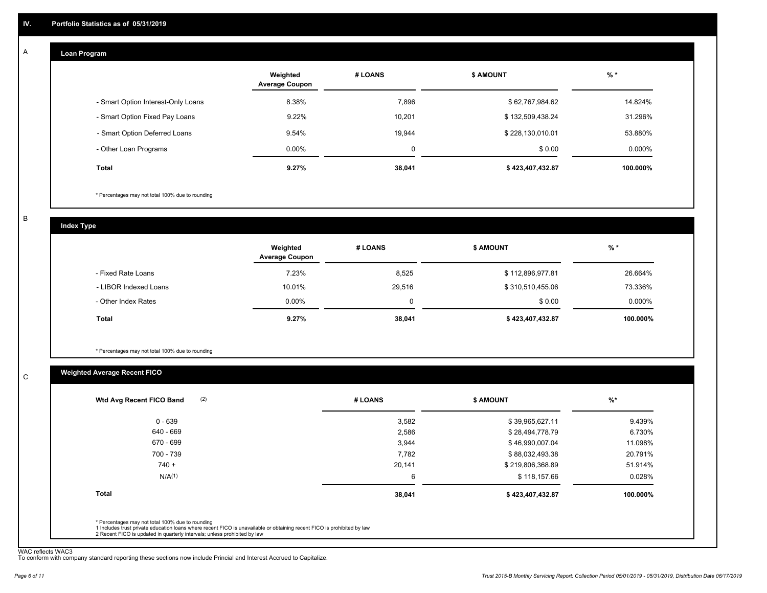#### **Loan Program**  A

|                                    | Weighted<br><b>Average Coupon</b> | # LOANS     | <b>\$ AMOUNT</b> | $%$ *     |
|------------------------------------|-----------------------------------|-------------|------------------|-----------|
| - Smart Option Interest-Only Loans | 8.38%                             | 7,896       | \$62,767,984.62  | 14.824%   |
| - Smart Option Fixed Pay Loans     | 9.22%                             | 10.201      | \$132,509,438.24 | 31.296%   |
| - Smart Option Deferred Loans      | 9.54%                             | 19.944      | \$228,130,010.01 | 53.880%   |
| - Other Loan Programs              | $0.00\%$                          | $\mathbf 0$ | \$0.00           | $0.000\%$ |
| <b>Total</b>                       | 9.27%                             | 38,041      | \$423,407,432.87 | 100.000%  |

\* Percentages may not total 100% due to rounding

B

C

**Index Type**

|                       | Weighted<br><b>Average Coupon</b> | # LOANS | <b>\$ AMOUNT</b> | $%$ *     |
|-----------------------|-----------------------------------|---------|------------------|-----------|
| - Fixed Rate Loans    | 7.23%                             | 8,525   | \$112,896,977.81 | 26.664%   |
| - LIBOR Indexed Loans | 10.01%                            | 29.516  | \$310,510,455.06 | 73.336%   |
| - Other Index Rates   | $0.00\%$                          | 0       | \$0.00           | $0.000\%$ |
| Total                 | 9.27%                             | 38,041  | \$423,407,432.87 | 100.000%  |

\* Percentages may not total 100% due to rounding

### **Weighted Average Recent FICO**

| $0 - 639$<br>640 - 669 | 3,582  | \$39,965,627.11  | 9.439%   |
|------------------------|--------|------------------|----------|
|                        |        |                  |          |
|                        | 2,586  | \$28,494,778.79  | 6.730%   |
| 670 - 699              | 3,944  | \$46,990,007.04  | 11.098%  |
| 700 - 739              | 7,782  | \$88,032,493.38  | 20.791%  |
| $740 +$                | 20,141 | \$219,806,368.89 | 51.914%  |
| N/A <sup>(1)</sup>     | 6      | \$118,157.66     | 0.028%   |
| Total                  | 38,041 | \$423,407,432.87 | 100.000% |

WAC reflects WAC3 To conform with company standard reporting these sections now include Princial and Interest Accrued to Capitalize.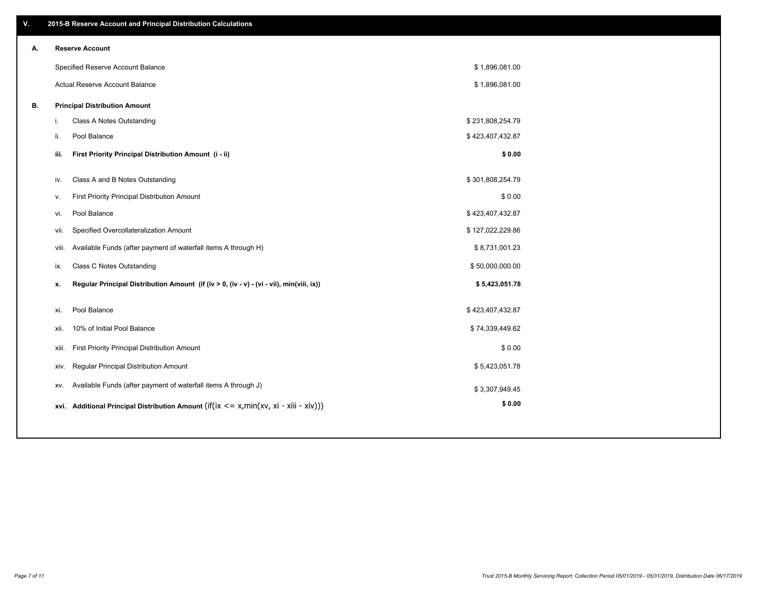| V. |       | 2015-B Reserve Account and Principal Distribution Calculations                             |                  |  |
|----|-------|--------------------------------------------------------------------------------------------|------------------|--|
| А. |       | <b>Reserve Account</b>                                                                     |                  |  |
|    |       | Specified Reserve Account Balance                                                          | \$1,896,081.00   |  |
|    |       | Actual Reserve Account Balance                                                             | \$1,896,081.00   |  |
| В. |       | <b>Principal Distribution Amount</b>                                                       |                  |  |
|    | j.    | Class A Notes Outstanding                                                                  | \$231,808,254.79 |  |
|    | ii.   | Pool Balance                                                                               | \$423,407,432.87 |  |
|    | iii.  | First Priority Principal Distribution Amount (i - ii)                                      | \$0.00           |  |
|    |       |                                                                                            |                  |  |
|    | iv.   | Class A and B Notes Outstanding                                                            | \$301,808,254.79 |  |
|    | v.    | First Priority Principal Distribution Amount                                               | \$0.00           |  |
|    | vi.   | Pool Balance                                                                               | \$423,407,432.87 |  |
|    | vii.  | Specified Overcollateralization Amount                                                     | \$127,022,229.86 |  |
|    | viii. | Available Funds (after payment of waterfall items A through H)                             | \$8,731,001.23   |  |
|    | ix.   | <b>Class C Notes Outstanding</b>                                                           | \$50,000,000.00  |  |
|    | x.    | Regular Principal Distribution Amount (if (iv > 0, (iv - v) - (vi - vii), min(viii, ix))   | \$5,423,051.78   |  |
|    |       |                                                                                            |                  |  |
|    | xi.   | Pool Balance                                                                               | \$423,407,432.87 |  |
|    | xii.  | 10% of Initial Pool Balance                                                                | \$74,339,449.62  |  |
|    | xiii. | First Priority Principal Distribution Amount                                               | \$0.00           |  |
|    | xiv.  | Regular Principal Distribution Amount                                                      | \$5,423,051.78   |  |
|    | XV.   | Available Funds (after payment of waterfall items A through J)                             | \$3,307,949.45   |  |
|    |       | xvi. Additional Principal Distribution Amount (if(ix $\lt$ = x, min(xv, xi - xiii - xiv))) | \$0.00           |  |
|    |       |                                                                                            |                  |  |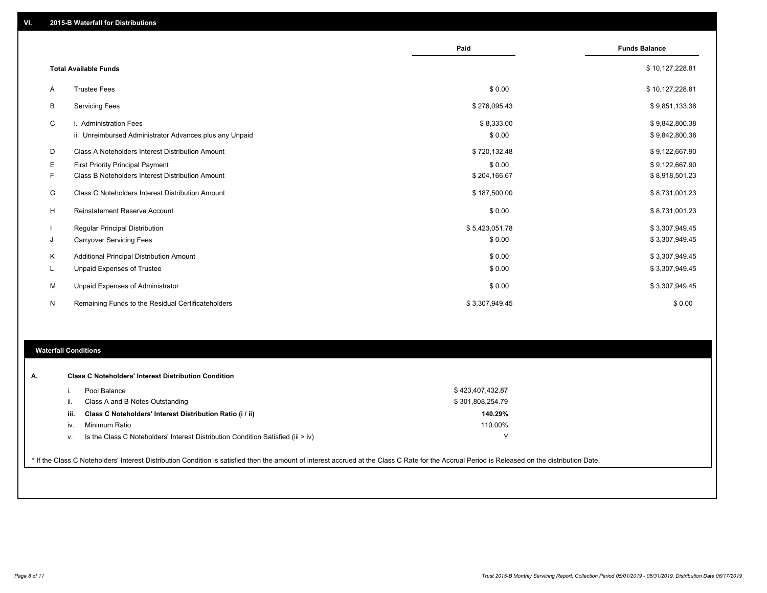|   |                                                                                   | Paid                 | <b>Funds Balance</b>             |
|---|-----------------------------------------------------------------------------------|----------------------|----------------------------------|
|   | <b>Total Available Funds</b>                                                      |                      | \$10,127,228.81                  |
| Α | <b>Trustee Fees</b>                                                               | \$0.00               | \$10,127,228.81                  |
| В | <b>Servicing Fees</b>                                                             | \$276,095.43         | \$9,851,133.38                   |
| C | i. Administration Fees<br>ii. Unreimbursed Administrator Advances plus any Unpaid | \$8,333.00<br>\$0.00 | \$9,842,800.38<br>\$9,842,800.38 |
| D | Class A Noteholders Interest Distribution Amount                                  | \$720,132.48         | \$9,122,667.90                   |
| Ε | <b>First Priority Principal Payment</b>                                           | \$0.00               | \$9,122,667.90                   |
| F | Class B Noteholders Interest Distribution Amount                                  | \$204,166.67         | \$8,918,501.23                   |
| G | Class C Noteholders Interest Distribution Amount                                  | \$187,500.00         | \$8,731,001.23                   |
| н | Reinstatement Reserve Account                                                     | \$0.00               | \$8,731,001.23                   |
|   | Regular Principal Distribution                                                    | \$5,423,051.78       | \$3,307,949.45                   |
| J | <b>Carryover Servicing Fees</b>                                                   | \$0.00               | \$3,307,949.45                   |
| Κ | Additional Principal Distribution Amount                                          | \$0.00               | \$3,307,949.45                   |
| L | Unpaid Expenses of Trustee                                                        | \$0.00               | \$3,307,949.45                   |
| М | Unpaid Expenses of Administrator                                                  | \$0.00               | \$3,307,949.45                   |
| N | Remaining Funds to the Residual Certificateholders                                | \$3,307,949.45       | \$0.00                           |
|   |                                                                                   |                      |                                  |

## **Waterfall Conditions**

| А. |      | <b>Class C Noteholders' Interest Distribution Condition</b><br>Pool Balance                                                                                                                     | \$423,407,432.87 |  |
|----|------|-------------------------------------------------------------------------------------------------------------------------------------------------------------------------------------------------|------------------|--|
|    |      | Class A and B Notes Outstanding                                                                                                                                                                 | \$301,808,254.79 |  |
|    | iii. | Class C Noteholders' Interest Distribution Ratio (i / ii)                                                                                                                                       | 140.29%          |  |
|    | IV.  | Minimum Ratio                                                                                                                                                                                   | 110.00%          |  |
|    | V.   | Is the Class C Noteholders' Interest Distribution Condition Satisfied (iii $>$ iv)                                                                                                              | $\checkmark$     |  |
|    |      | * If the Class C Noteholders' Interest Distribution Condition is satisfied then the amount of interest accrued at the Class C Rate for the Accrual Period is Released on the distribution Date. |                  |  |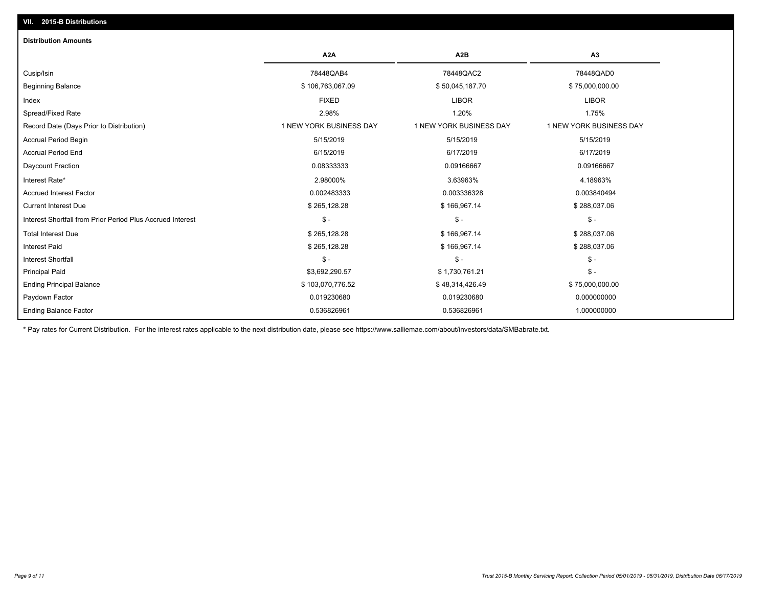# **VII. 2015-B Distributions**

| <b>Distribution Amounts</b>                                |                         |                         |                         |
|------------------------------------------------------------|-------------------------|-------------------------|-------------------------|
|                                                            | A <sub>2</sub> A        | A <sub>2</sub> B        | A <sub>3</sub>          |
| Cusip/Isin                                                 | 78448QAB4               | 78448QAC2               | 78448QAD0               |
| <b>Beginning Balance</b>                                   | \$106,763,067.09        | \$50,045,187.70         | \$75,000,000.00         |
| Index                                                      | <b>FIXED</b>            | <b>LIBOR</b>            | <b>LIBOR</b>            |
| Spread/Fixed Rate                                          | 2.98%                   | 1.20%                   | 1.75%                   |
| Record Date (Days Prior to Distribution)                   | 1 NEW YORK BUSINESS DAY | 1 NEW YORK BUSINESS DAY | 1 NEW YORK BUSINESS DAY |
| Accrual Period Begin                                       | 5/15/2019               | 5/15/2019               | 5/15/2019               |
| <b>Accrual Period End</b>                                  | 6/15/2019               | 6/17/2019               | 6/17/2019               |
| Daycount Fraction                                          | 0.08333333              | 0.09166667              | 0.09166667              |
| Interest Rate*                                             | 2.98000%                | 3.63963%                | 4.18963%                |
| <b>Accrued Interest Factor</b>                             | 0.002483333             | 0.003336328             | 0.003840494             |
| <b>Current Interest Due</b>                                | \$265,128.28            | \$166,967.14            | \$288,037.06            |
| Interest Shortfall from Prior Period Plus Accrued Interest | $\mathsf{\$}$ -         | $\mathcal{S}$ -         | $\frac{1}{2}$           |
| <b>Total Interest Due</b>                                  | \$265,128.28            | \$166,967.14            | \$288,037.06            |
| <b>Interest Paid</b>                                       | \$265,128.28            | \$166,967.14            | \$288,037.06            |
| <b>Interest Shortfall</b>                                  | $\mathsf{\$}$ -         | $\mathsf{\$}$ -         | $\mathsf{\$}$ -         |
| <b>Principal Paid</b>                                      | \$3,692,290.57          | \$1,730,761.21          | $$ -$                   |
| <b>Ending Principal Balance</b>                            | \$103,070,776.52        | \$48,314,426.49         | \$75,000,000.00         |
| Paydown Factor                                             | 0.019230680             | 0.019230680             | 0.000000000             |
| <b>Ending Balance Factor</b>                               | 0.536826961             | 0.536826961             | 1.000000000             |

\* Pay rates for Current Distribution. For the interest rates applicable to the next distribution date, please see https://www.salliemae.com/about/investors/data/SMBabrate.txt.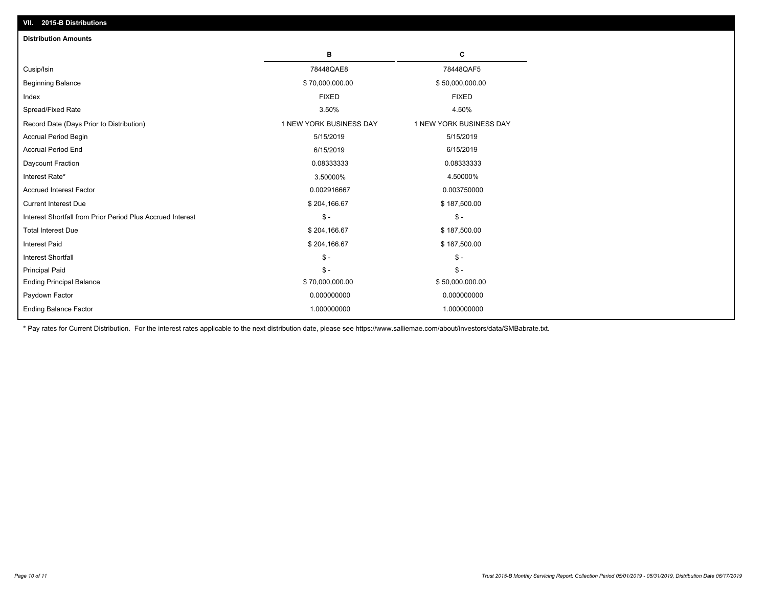| <b>Distribution Amounts</b>                                |                         |                         |
|------------------------------------------------------------|-------------------------|-------------------------|
|                                                            | в                       | C                       |
| Cusip/Isin                                                 | 78448QAE8               | 78448QAF5               |
| <b>Beginning Balance</b>                                   | \$70,000,000.00         | \$50,000,000.00         |
| Index                                                      | <b>FIXED</b>            | <b>FIXED</b>            |
| Spread/Fixed Rate                                          | 3.50%                   | 4.50%                   |
| Record Date (Days Prior to Distribution)                   | 1 NEW YORK BUSINESS DAY | 1 NEW YORK BUSINESS DAY |
| <b>Accrual Period Begin</b>                                | 5/15/2019               | 5/15/2019               |
| <b>Accrual Period End</b>                                  | 6/15/2019               | 6/15/2019               |
| Daycount Fraction                                          | 0.08333333              | 0.08333333              |
| Interest Rate*                                             | 3.50000%                | 4.50000%                |
| <b>Accrued Interest Factor</b>                             | 0.002916667             | 0.003750000             |
| <b>Current Interest Due</b>                                | \$204,166.67            | \$187,500.00            |
| Interest Shortfall from Prior Period Plus Accrued Interest | $\mathsf{\$}$ -         | $\mathsf{\$}$ -         |
| <b>Total Interest Due</b>                                  | \$204,166.67            | \$187,500.00            |
| Interest Paid                                              | \$204,166.67            | \$187,500.00            |
| <b>Interest Shortfall</b>                                  | $\mathsf{\$}$ -         | $\mathsf{\$}$ -         |
| <b>Principal Paid</b>                                      | $\mathsf{\$}$ -         | $$ -$                   |
| <b>Ending Principal Balance</b>                            | \$70,000,000.00         | \$50,000,000.00         |
| Paydown Factor                                             | 0.000000000             | 0.000000000             |
| <b>Ending Balance Factor</b>                               | 1.000000000             | 1.000000000             |

\* Pay rates for Current Distribution. For the interest rates applicable to the next distribution date, please see https://www.salliemae.com/about/investors/data/SMBabrate.txt.

**VII. 2015-B Distributions**